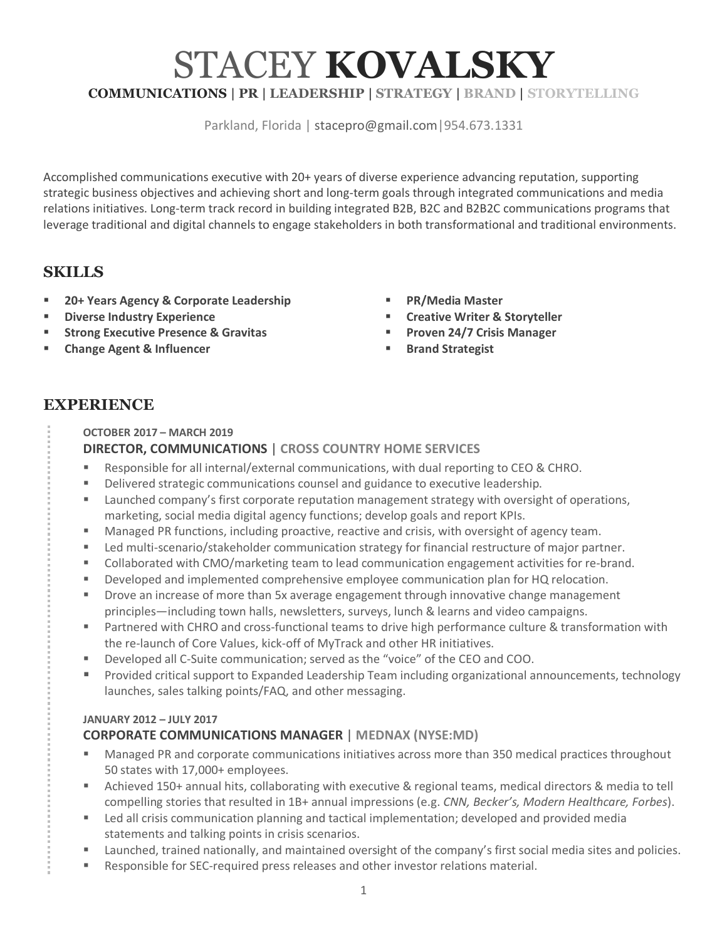# STACEY **KOVALSKY COMMUNICATIONS | PR | LEADERSHIP | STRATEGY | BRAND | STORYTELLING**

Parkland, Florida | stacepro@gmail.com|954.673.1331

Accomplished communications executive with 20+ years of diverse experience advancing reputation, supporting strategic business objectives and achieving short and long-term goals through integrated communications and media relations initiatives. Long-term track record in building integrated B2B, B2C and B2B2C communications programs that leverage traditional and digital channels to engage stakeholders in both transformational and traditional environments.

# **SKILLS**

- § **20+ Years Agency & Corporate Leadership**
- § **Diverse Industry Experience**
- § **Strong Executive Presence & Gravitas**
- § **Change Agent & Influencer**
- § **PR/Media Master**
- § **Creative Writer & Storyteller**
- § **Proven 24/7 Crisis Manager**
- Brand Strategist

# **EXPERIENCE**

**OCTOBER 2017 – MARCH 2019**

#### **DIRECTOR, COMMUNICATIONS** | **CROSS COUNTRY HOME SERVICES**

- § Responsible for all internal/external communications, with dual reporting to CEO & CHRO.
- Delivered strategic communications counsel and guidance to executive leadership.
- Launched company's first corporate reputation management strategy with oversight of operations, marketing, social media digital agency functions; develop goals and report KPIs.
- Managed PR functions, including proactive, reactive and crisis, with oversight of agency team.
- Led multi-scenario/stakeholder communication strategy for financial restructure of major partner.
- Collaborated with CMO/marketing team to lead communication engagement activities for re-brand.
- Developed and implemented comprehensive employee communication plan for HQ relocation.
- § Drove an increase of more than 5x average engagement through innovative change management principles—including town halls, newsletters, surveys, lunch & learns and video campaigns.
- Partnered with CHRO and cross-functional teams to drive high performance culture & transformation with the re-launch of Core Values, kick-off of MyTrack and other HR initiatives.
- Developed all C-Suite communication; served as the "voice" of the CEO and COO.
- Provided critical support to Expanded Leadership Team including organizational announcements, technology launches, sales talking points/FAQ, and other messaging.

#### **JANUARY 2012 – JULY 2017**

## **CORPORATE COMMUNICATIONS MANAGER** | **MEDNAX (NYSE:MD)**

- § Managed PR and corporate communications initiatives across more than 350 medical practices throughout 50 states with 17,000+ employees.
- Achieved 150+ annual hits, collaborating with executive & regional teams, medical directors & media to tell compelling stories that resulted in 1B+ annual impressions (e.g. *CNN, Becker's, Modern Healthcare, Forbes*).
- Led all crisis communication planning and tactical implementation; developed and provided media statements and talking points in crisis scenarios.
- Launched, trained nationally, and maintained oversight of the company's first social media sites and policies.
- Responsible for SEC-required press releases and other investor relations material.